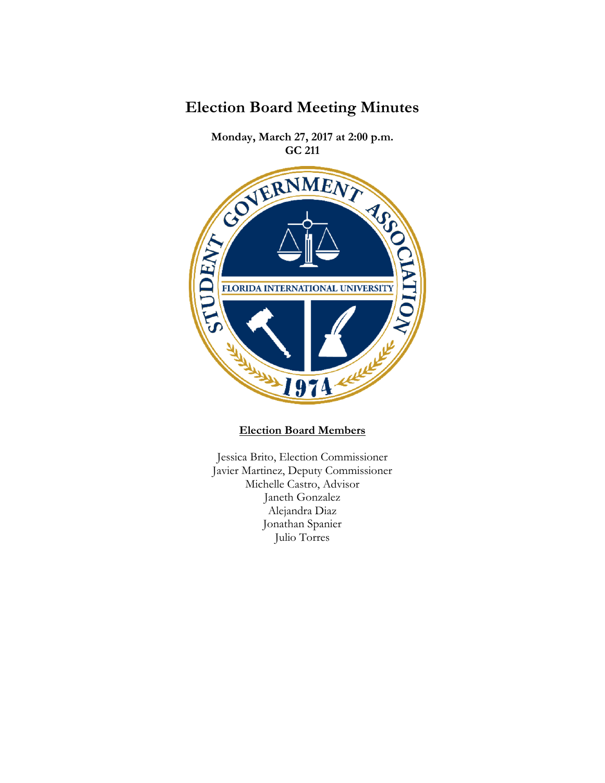

JI7 at 211 **Monday, March 27, 2017 at 2:00 p.m.**  RESITY OF BRITISH FLORIDA INTERNATIONAL UNIVERSITY **Refilt** 1974

## **Election Board Members**

Jessica Brito, Election Commissioner Javier Martinez, Deputy Commissioner Michelle Castro, Advisor Janeth Gonzalez Alejandra Diaz Jonathan Spanier Julio Torres